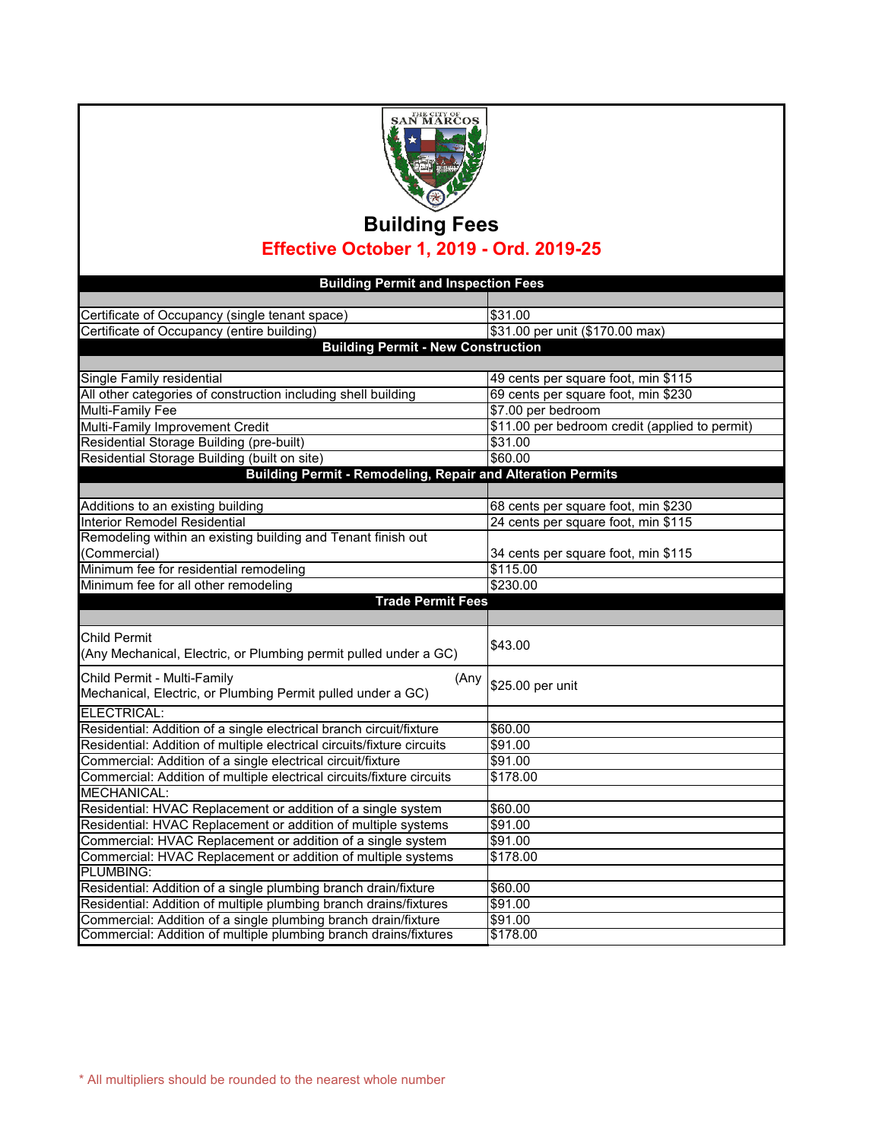

## **Building Fees Effective October 1, 2019 - Ord. 2019-25**

| <b>Building Permit and Inspection Fees</b>                                                                                         |                                                |
|------------------------------------------------------------------------------------------------------------------------------------|------------------------------------------------|
|                                                                                                                                    |                                                |
| Certificate of Occupancy (single tenant space)                                                                                     | \$31.00                                        |
| Certificate of Occupancy (entire building)                                                                                         | \$31.00 per unit (\$170.00 max)                |
| <b>Building Permit - New Construction</b>                                                                                          |                                                |
|                                                                                                                                    |                                                |
| Single Family residential                                                                                                          | 49 cents per square foot, min \$115            |
| All other categories of construction including shell building                                                                      | 69 cents per square foot, min \$230            |
| <b>Multi-Family Fee</b>                                                                                                            | \$7.00 per bedroom                             |
| Multi-Family Improvement Credit                                                                                                    | \$11.00 per bedroom credit (applied to permit) |
| Residential Storage Building (pre-built)                                                                                           | \$31.00                                        |
| Residential Storage Building (built on site)                                                                                       | \$60.00                                        |
| Building Permit - Remodeling, Repair and Alteration Permits                                                                        |                                                |
|                                                                                                                                    |                                                |
| Additions to an existing building                                                                                                  | 68 cents per square foot, min \$230            |
| Interior Remodel Residential                                                                                                       | 24 cents per square foot, min \$115            |
| Remodeling within an existing building and Tenant finish out                                                                       |                                                |
| (Commercial)                                                                                                                       | 34 cents per square foot, min \$115            |
| Minimum fee for residential remodeling                                                                                             | \$115.00                                       |
| Minimum fee for all other remodeling                                                                                               | \$230.00                                       |
| <b>Trade Permit Fees</b>                                                                                                           |                                                |
|                                                                                                                                    |                                                |
|                                                                                                                                    |                                                |
| <b>Child Permit</b>                                                                                                                |                                                |
| (Any Mechanical, Electric, or Plumbing permit pulled under a GC)                                                                   | \$43.00                                        |
|                                                                                                                                    |                                                |
| Child Permit - Multi-Family<br>(Any                                                                                                | \$25.00 per unit                               |
| Mechanical, Electric, or Plumbing Permit pulled under a GC)                                                                        |                                                |
| ELECTRICAL:                                                                                                                        |                                                |
| Residential: Addition of a single electrical branch circuit/fixture                                                                | \$60.00                                        |
| Residential: Addition of multiple electrical circuits/fixture circuits                                                             | \$91.00                                        |
| Commercial: Addition of a single electrical circuit/fixture                                                                        | \$91.00                                        |
| Commercial: Addition of multiple electrical circuits/fixture circuits                                                              | \$178.00                                       |
| MECHANICAL:                                                                                                                        |                                                |
| Residential: HVAC Replacement or addition of a single system                                                                       | \$60.00                                        |
| Residential: HVAC Replacement or addition of multiple systems                                                                      | \$91.00                                        |
| Commercial: HVAC Replacement or addition of a single system                                                                        | \$91.00                                        |
| Commercial: HVAC Replacement or addition of multiple systems                                                                       | \$178.00                                       |
| PLUMBING:                                                                                                                          |                                                |
| Residential: Addition of a single plumbing branch drain/fixture                                                                    | \$60.00                                        |
| Residential: Addition of multiple plumbing branch drains/fixtures                                                                  | \$91.00                                        |
| Commercial: Addition of a single plumbing branch drain/fixture<br>Commercial: Addition of multiple plumbing branch drains/fixtures | \$91.00<br>\$178.00                            |